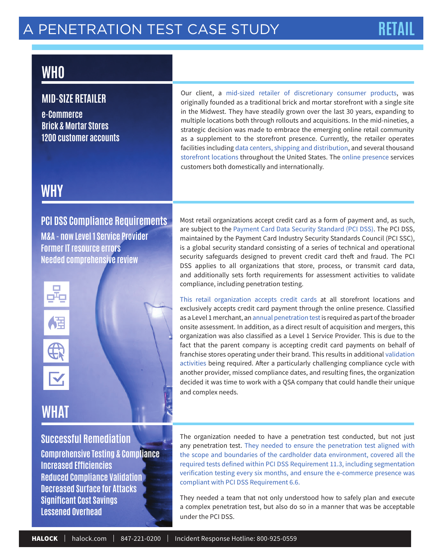# **WHO**

### **MID-SIZE RETAILER**

**e-Commerce Brick & Mortar Stores 1200 customer accounts** Our client, a mid-sized retailer of discretionary consumer products, was originally founded as a traditional brick and mortar storefront with a single site in the Midwest. They have steadily grown over the last 30 years, expanding to multiple locations both through rollouts and acquisitions. In the mid-nineties, a strategic decision was made to embrace the emerging online retail community as a supplement to the storefront presence. Currently, the retailer operates facilities including data centers, shipping and distribution, and several thousand storefront locations throughout the United States. The online presence services customers both domestically and internationally.

# **WHY**

### **PCI DSS Compliance Requirements**

**M&A - now Level 1 Service Provider Former IT resource errors Needed comprehensive review**





# **WHAT**

### **Successful Remediation**

**Comprehensive Testing & Compliance Increased Effi ciencies Reduced Compliance Validation Decreased Surface for Attacks Significant Cost Savings Lessened Overhead**

Most retail organizations accept credit card as a form of payment and, as such, are subject to the Payment Card Data Security Standard (PCI DSS). The PCI DSS, maintained by the Payment Card Industry Security Standards Council (PCI SSC), is a global security standard consisting of a series of technical and operational security safeguards designed to prevent credit card theft and fraud. The PCI DSS applies to all organizations that store, process, or transmit card data, and additionally sets forth requirements for assessment activities to validate compliance, including penetration testing.

This retail organization accepts credit cards at all storefront locations and exclusively accepts credit card payment through the online presence. Classified as a Level 1 merchant, an annual penetration test is required as part of the broader onsite assessment. In addition, as a direct result of acquisition and mergers, this organization was also classified as a Level 1 Service Provider. This is due to the fact that the parent company is accepting credit card payments on behalf of franchise stores operating under their brand. This results in additional validation activities being required. After a particularly challenging compliance cycle with another provider, missed compliance dates, and resulting fines, the organization decided it was time to work with a QSA company that could handle their unique and complex needs.

The organization needed to have a penetration test conducted, but not just any penetration test. They needed to ensure the penetration test aligned with the scope and boundaries of the cardholder data environment, covered all the required tests defined within PCI DSS Requirement 11.3, including segmentation verification testing every six months, and ensure the e-commerce presence was compliant with PCI DSS Requirement 6.6.

They needed a team that not only understood how to safely plan and execute a complex penetration test, but also do so in a manner that was be acceptable under the PCI DSS.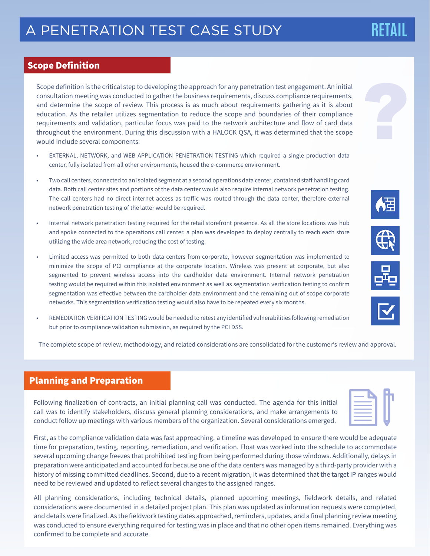#### Scope Definition

Scope definition is the critical step to developing the approach for any penetration test engagement. An initial consultation meeting was conducted to gather the business requirements, discuss compliance requirements, and determine the scope of review. This process is as much about requirements gathering as it is about education. As the retailer utilizes segmentation to reduce the scope and boundaries of their compliance requirements and validation, particular focus was paid to the network architecture and flow of card data throughout the environment. During this discussion with a HALOCK QSA, it was determined that the scope would include several components:

- EXTERNAL, NETWORK, and WEB APPLICATION PENETRATION TESTING which required a single production data center, fully isolated from all other environments, housed the e-commerce environment.
- Two call centers, connected to an isolated segment at a second operations data center, contained staff handling card data. Both call center sites and portions of the data center would also require internal network penetration testing. The call centers had no direct internet access as traffic was routed through the data center, therefore external network penetration testing of the latter would be required.
- Internal network penetration testing required for the retail storefront presence. As all the store locations was hub and spoke connected to the operations call center, a plan was developed to deploy centrally to reach each store utilizing the wide area network, reducing the cost of testing.
- Limited access was permitted to both data centers from corporate, however segmentation was implemented to minimize the scope of PCI compliance at the corporate location. Wireless was present at corporate, but also segmented to prevent wireless access into the cardholder data environment. Internal network penetration testing would be required within this isolated environment as well as segmentation verification testing to confirm segmentation was effective between the cardholder data environment and the remaining out of scope corporate networks. This segmentation verification testing would also have to be repeated every six months.
- REMEDIATION VERIFICATION TESTING would be needed to retest any identified vulnerabilities following remediation but prior to compliance validation submission, as required by the PCI DSS.

The complete scope of review, methodology, and related considerations are consolidated for the customer's review and approval.

### Planning and Preparation

Following finalization of contracts, an initial planning call was conducted. The agenda for this initial call was to identify stakeholders, discuss general planning considerations, and make arrangements to conduct follow up meetings with various members of the organization. Several considerations emerged.

First, as the compliance validation data was fast approaching, a timeline was developed to ensure there would be adequate time for preparation, testing, reporting, remediation, and verification. Float was worked into the schedule to accommodate several upcoming change freezes that prohibited testing from being performed during those windows. Additionally, delays in preparation were anticipated and accounted for because one of the data centers was managed by a third-party provider with a history of missing committed deadlines. Second, due to a recent migration, it was determined that the target IP ranges would need to be reviewed and updated to reflect several changes to the assigned ranges.

All planning considerations, including technical details, planned upcoming meetings, fieldwork details, and related considerations were documented in a detailed project plan. This plan was updated as information requests were completed, and details were finalized. As the fieldwork testing dates approached, reminders, updates, and a final planning review meeting was conducted to ensure everything required for testing was in place and that no other open items remained. Everything was confirmed to be complete and accurate.









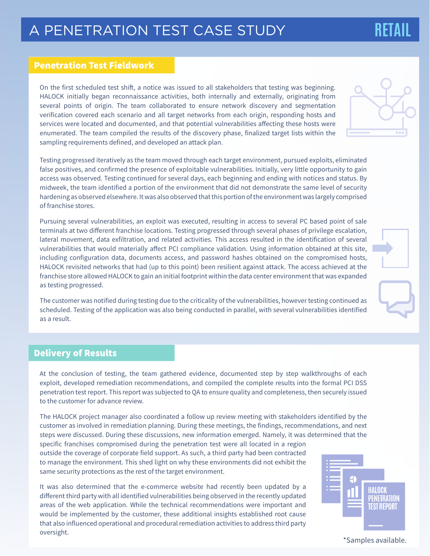### Penetration Test Fieldwork

On the first scheduled test shift, a notice was issued to all stakeholders that testing was beginning. HALOCK initially began reconnaissance activities, both internally and externally, originating from several points of origin. The team collaborated to ensure network discovery and segmentation verification covered each scenario and all target networks from each origin, responding hosts and services were located and documented, and that potential vulnerabilities affecting these hosts were enumerated. The team compiled the results of the discovery phase, finalized target lists within the sampling requirements defined, and developed an attack plan.

Testing progressed iteratively as the team moved through each target environment, pursued exploits, eliminated false positives, and confirmed the presence of exploitable vulnerabilities. Initially, very little opportunity to gain access was observed. Testing continued for several days, each beginning and ending with notices and status. By midweek, the team identified a portion of the environment that did not demonstrate the same level of security hardening as observed elsewhere. It was also observed that this portion of the environment was largely comprised of franchise stores.

Pursuing several vulnerabilities, an exploit was executed, resulting in access to several PC based point of sale terminals at two different franchise locations. Testing progressed through several phases of privilege escalation, lateral movement, data exfiltration, and related activities. This access resulted in the identification of several vulnerabilities that would materially affect PCI compliance validation. Using information obtained at this site, including configuration data, documents access, and password hashes obtained on the compromised hosts, HALOCK revisited networks that had (up to this point) been resilient against attack. The access achieved at the franchise store allowed HALOCK to gain an initial footprint within the data center environment that was expanded as testing progressed.

The customer was notified during testing due to the criticality of the vulnerabilities, however testing continued as scheduled. Testing of the application was also being conducted in parallel, with several vulnerabilities identified as a result.

### Delivery of Results

At the conclusion of testing, the team gathered evidence, documented step by step walkthroughs of each exploit, developed remediation recommendations, and compiled the complete results into the formal PCI DSS penetration test report. This report was subjected to QA to ensure quality and completeness, then securely issued to the customer for advance review.

The HALOCK project manager also coordinated a follow up review meeting with stakeholders identified by the customer as involved in remediation planning. During these meetings, the findings, recommendations, and next steps were discussed. During these discussions, new information emerged. Namely, it was determined that the

specific franchises compromised during the penetration test were all located in a region outside the coverage of corporate field support. As such, a third party had been contracted to manage the environment. This shed light on why these environments did not exhibit the same security protections as the rest of the target environment.

It was also determined that the e-commerce website had recently been updated by a different third party with all identified vulnerabilities being observed in the recently updated areas of the web application. While the technical recommendations were important and would be implemented by the customer, these additional insights established root cause that also influenced operational and procedural remediation activities to address third party oversight.

#### \*Samples available.